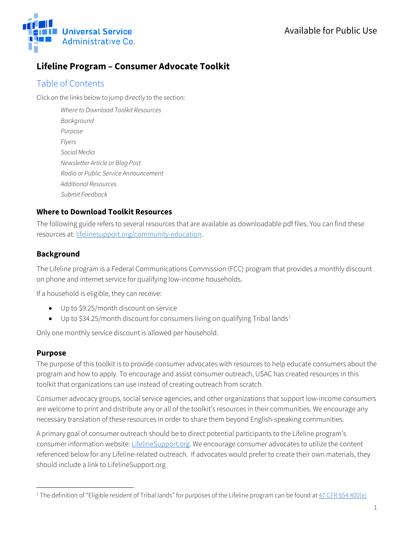

# **Lifeline Program – Consumer Advocate Toolkit**

## Table of Contents

Click on the links below to jump directly to the section:

*[Where to Download Toolkit Resources](#page-0-0) [Background](#page-0-1) [Purpose](#page-0-2) [Flyers](#page-0-3) [Social Media](#page-1-0) [Newsletter Article or Blog](#page-2-0) Post [Radio or Public Service Announcement](#page-2-1) [Additional Resources](#page-3-0) [Submit Feedback](#page-3-1)*

#### <span id="page-0-0"></span>**Where to Download Toolkit Resources**

The following guide refers to several resources that are available as downloadable pdf files. You can find these resources at: [lifelinesupport.org/community-education.](https://www.lifelinesupport.org/community-education/)

## <span id="page-0-1"></span>**Background**

The Lifeline program is a Federal Communications Commission (FCC) program that provides a monthly discount on phone and internet service for qualifying low-income households.

If a household is eligible, they can receive:

- Up to \$9.25/month discount on service
- Up to \$34.25/month discount for consumers living on qualifying Tribal lands<sup>[1](#page-0-4)</sup>

Only one monthly service discount is allowed per household.

## <span id="page-0-2"></span>**Purpose**

<span id="page-0-3"></span> $\overline{a}$ 

The purpose of this toolkit is to provide consumer advocates with resources to help educate consumers about the program and how to apply. To encourage and assist consumer outreach, USAC has created resources in this toolkit that organizations can use instead of creating outreach from scratch.

Consumer advocacy groups, social service agencies, and other organizations that support low-income consumers are welcome to print and distribute any or all of the toolkit's resources in their communities. We encourage any necessary translation of these resources in order to share them beyond English-speaking communities.

A primary goal of consumer outreach should be to direct potential participants to the Lifeline program's consumer information website: [LifelineSupport.org.](https://www.lifelinesupport.org/) We encourage consumer advocates to utilize the content referenced below for any Lifeline-related outreach. If advocates would prefer to create their own materials, they should include a link to LifelineSupport.org

<span id="page-0-4"></span><sup>&</sup>lt;sup>1</sup> The definition of "Eligible resident of Tribal lands" for purposes of the Lifeline program can be found a[t 47 CFR §54.400\(e\)](https://www.ecfr.gov/current/title-47/chapter-I/subchapter-B/part-54/subpart-E#54.400)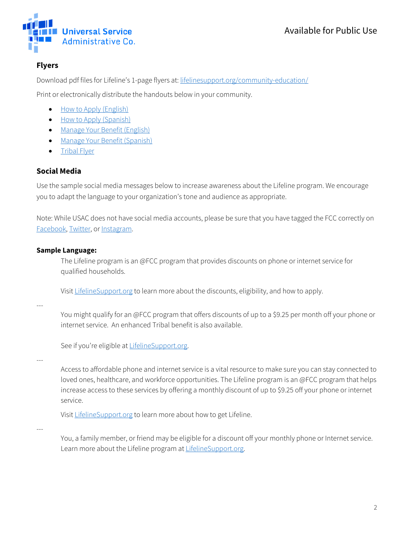

## **Flyers**

Download pdf files for Lifeline's 1-page flyers at[: lifelinesupport.org/community-education/](https://www.lifelinesupport.org/community-education/)

Print or electronically distribute the handouts below in your community.

- [How to Apply \(English\)](https://www.lifelinesupport.org/wp-content/uploads/documents/community-education/Lifeline-How-to-Apply.pdf)
- [How to Apply \(Spanish\)](https://www.lifelinesupport.org/wp-content/uploads/documents/community-education/Lifeline_SP_How-to-Apply.pdf)
- [Manage Your Benefit \(English\)](https://www.lifelinesupport.org/wp-content/uploads/documents/community-education/Lifeline-Manage-Your-Benefit.pdf)
- [Manage Your Benefit \(Spanish\)](https://www.lifelinesupport.org/wp-content/uploads/documents/community-education/Lifeline_SP_Manage-Benefit.pdf)
- [Tribal Flyer](https://www.lifelinesupport.org/wp-content/uploads/documents/community-education/Tribal-Flyer.pdf)

## <span id="page-1-0"></span>**Social Media**

Use the sample social media messages below to increase awareness about the Lifeline program. We encourage you to adapt the language to your organization's tone and audience as appropriate.

Note: While USAC does not have social media accounts, please be sure that you have tagged the FCC correctly on [Facebook,](https://www.facebook.com/FCC/) [Twitter,](https://twitter.com/FCC?ref_src=twsrc%5Egoogle%7Ctwcamp%5Eserp%7Ctwgr%5Eauthor) or [Instagram.](https://www.instagram.com/fcc/?hl=en)

#### **Sample Language:**

The Lifeline program is an @FCC program that provides discounts on phone or internet service for qualified households.

Visi[t LifelineSupport.org](https://www.lifelinesupport.org/) to learn more about the discounts, eligibility, and how to apply.

---

You might qualify for an @FCC program that offers discounts of up to a \$9.25 per month off your phone or internet service. An enhanced Tribal benefit is also available.

See if you're eligible at **LifelineSupport.org**.

---

Access to affordable phone and internet service is a vital resource to make sure you can stay connected to loved ones, healthcare, and workforce opportunities. The Lifeline program is an @FCC program that helps increase access to these services by offering a monthly discount of up to \$9.25 off your phone or internet service.

Visi[t LifelineSupport.org](https://www.lifelinesupport.org/) to learn more about how to get Lifeline.

---

You, a family member, or friend may be eligible for a discount off your monthly phone or Internet service. Learn more about the Lifeline program at [LifelineSupport.org.](https://www.lifelinesupport.org/)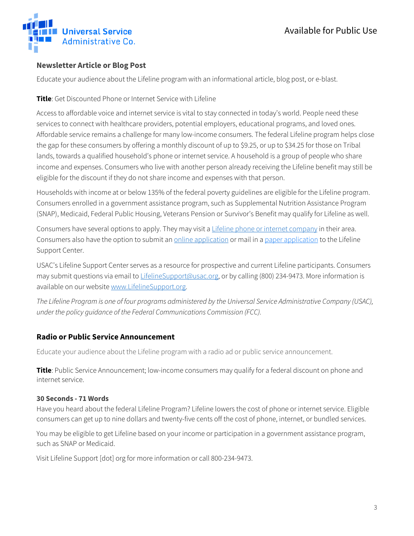

## <span id="page-2-0"></span>**Newsletter Article or Blog Post**

Educate your audience about the Lifeline program with an informational article, blog post, or e-blast.

**Title**: Get Discounted Phone or Internet Service with Lifeline

Access to affordable voice and internet service is vital to stay connected in today's world. People need these services to connect with healthcare providers, potential employers, educational programs, and loved ones. Affordable service remains a challenge for many low-income consumers. The federal Lifeline program helps close the gap for these consumers by offering a monthly discount of up to \$9.25, or up to \$34.25 for those on Tribal lands, towards a qualified household's phone or internet service. A household is a group of people who share income and expenses. Consumers who live with another person already receiving the Lifeline benefit may still be eligible for the discount if they do not share income and expenses with that person.

Households with income at or below 135% of the federal poverty guidelines are eligible for the Lifeline program. Consumers enrolled in a government assistance program, such as Supplemental Nutrition Assistance Program (SNAP), Medicaid, Federal Public Housing, Veterans Pension or Survivor's Benefit may qualify for Lifeline as well.

Consumers have several options to apply. They may visit [a Lifeline phone or internet company](https://data.usac.org/publicreports/CompaniesNearMe/Download/Report) in their area. Consumers also have the option to submit a[n online application](https://www.checklifeline.org/lifeline?id=nv_consumer_login&ln=RW5nbGlzaA%3D%3D) or mail in a [paper application](https://www.lifelinesupport.org/wp-content/uploads/lifeline/documents/LI_Application_NVstates.pdf) to the Lifeline Support Center.

USAC's Lifeline Support Center serves as a resource for prospective and current Lifeline participants. Consumers may submit questions via email to [LifelineSupport@usac.org,](mailto:LifelineSupport@usac.org) or by calling (800) 234-9473. More information is available on our website [www.LifelineSupport.org.](http://www.lifelinesupport.org/)

*The Lifeline Program is one of four programs administered by the Universal Service Administrative Company (USAC), under the policy guidance of the Federal Communications Commission (FCC).*

## <span id="page-2-1"></span>**Radio or Public Service Announcement**

Educate your audience about the Lifeline program with a radio ad or public service announcement.

**Title**: Public Service Announcement; low-income consumers may qualify for a federal discount on phone and internet service.

#### **30 Seconds - 71 Words**

Have you heard about the federal Lifeline Program? Lifeline lowers the cost of phone or internet service. Eligible consumers can get up to nine dollars and twenty-five cents off the cost of phone, internet, or bundled services.

You may be eligible to get Lifeline based on your income or participation in a government assistance program, such as SNAP or Medicaid.

Visit Lifeline Support [dot] org for more information or call 800-234-9473.